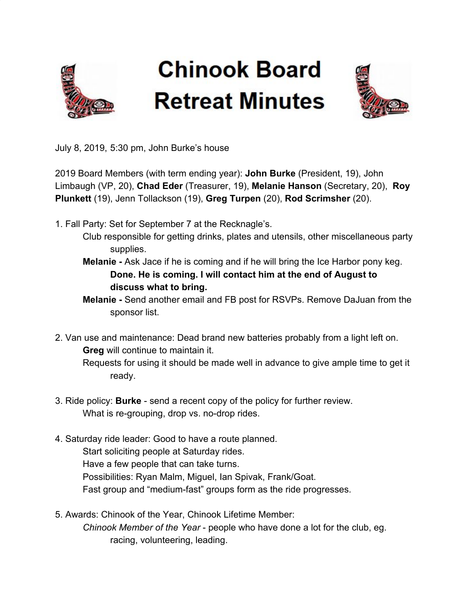

## **Chinook Board Retreat Minutes**



July 8, 2019, 5:30 pm, John Burke's house

2019 Board Members (with term ending year): **John Burke** (President, 19), John Limbaugh (VP, 20), **Chad Eder** (Treasurer, 19), **Melanie Hanson** (Secretary, 20), **Roy Plunkett** (19), Jenn Tollackson (19), **Greg Turpen** (20), **Rod Scrimsher** (20).

- 1. Fall Party: Set for September 7 at the Recknagle's.
	- Club responsible for getting drinks, plates and utensils, other miscellaneous party supplies.
	- **Melanie** Ask Jace if he is coming and if he will bring the Ice Harbor pony keg. **Done. He is coming. I will contact him at the end of August to discuss what to bring.**

**Melanie -** Send another email and FB post for RSVPs. Remove DaJuan from the sponsor list.

- 2. Van use and maintenance: Dead brand new batteries probably from a light left on. **Greg** will continue to maintain it. Requests for using it should be made well in advance to give ample time to get it ready.
- 3. Ride policy: **Burke**  send a recent copy of the policy for further review. What is re-grouping, drop vs. no-drop rides.
- 4. Saturday ride leader: Good to have a route planned. Start soliciting people at Saturday rides. Have a few people that can take turns. Possibilities: Ryan Malm, Miguel, Ian Spivak, Frank/Goat. Fast group and "medium-fast" groups form as the ride progresses.
- 5. Awards: Chinook of the Year, Chinook Lifetime Member: *Chinook Member of the Year* - people who have done a lot for the club, eg. racing, volunteering, leading.